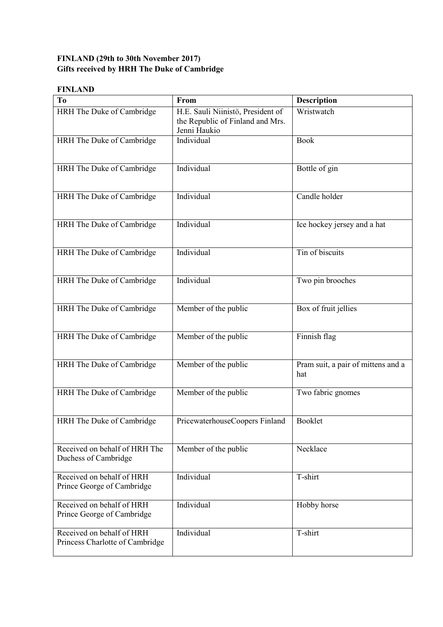## **FINLAND (29th to 30th November 2017) Gifts received by HRH The Duke of Cambridge**

## **FINLAND**

| T <sub>o</sub>                                               | From                                                                                  | <b>Description</b>                        |
|--------------------------------------------------------------|---------------------------------------------------------------------------------------|-------------------------------------------|
| HRH The Duke of Cambridge                                    | H.E. Sauli Niinistö, President of<br>the Republic of Finland and Mrs.<br>Jenni Haukio | Wristwatch                                |
| HRH The Duke of Cambridge                                    | Individual                                                                            | <b>Book</b>                               |
| HRH The Duke of Cambridge                                    | Individual                                                                            | Bottle of gin                             |
| HRH The Duke of Cambridge                                    | Individual                                                                            | Candle holder                             |
| HRH The Duke of Cambridge                                    | Individual                                                                            | Ice hockey jersey and a hat               |
| HRH The Duke of Cambridge                                    | Individual                                                                            | Tin of biscuits                           |
| HRH The Duke of Cambridge                                    | Individual                                                                            | Two pin brooches                          |
| HRH The Duke of Cambridge                                    | Member of the public                                                                  | Box of fruit jellies                      |
| HRH The Duke of Cambridge                                    | Member of the public                                                                  | Finnish flag                              |
| HRH The Duke of Cambridge                                    | Member of the public                                                                  | Pram suit, a pair of mittens and a<br>hat |
| HRH The Duke of Cambridge                                    | Member of the public                                                                  | Two fabric gnomes                         |
| HRH The Duke of Cambridge                                    | PricewaterhouseCoopers Finland                                                        | <b>Booklet</b>                            |
| Received on behalf of HRH The<br>Duchess of Cambridge        | Member of the public                                                                  | Necklace                                  |
| Received on behalf of HRH<br>Prince George of Cambridge      | Individual                                                                            | T-shirt                                   |
| Received on behalf of HRH<br>Prince George of Cambridge      | Individual                                                                            | Hobby horse                               |
| Received on behalf of HRH<br>Princess Charlotte of Cambridge | Individual                                                                            | T-shirt                                   |